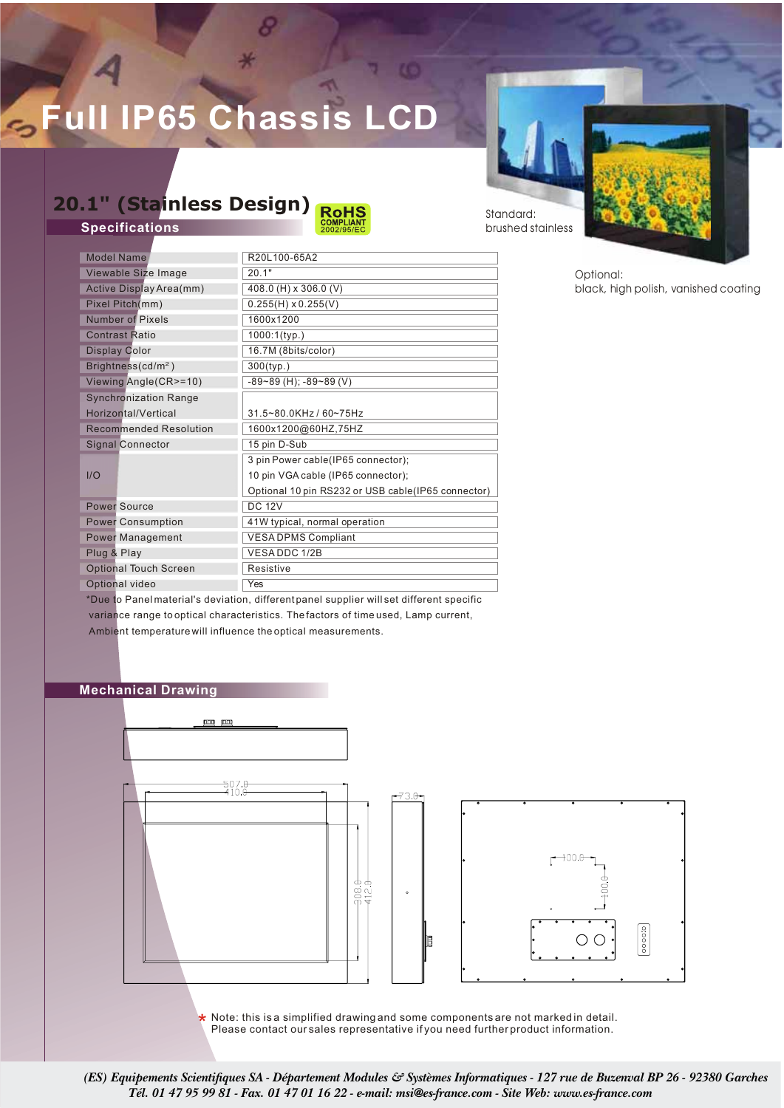# **Full IP65 Chassi**

### **20.1" (Stainless Design)**

**Specifications**



Standard: brushed stainless

| <b>Model Name</b>             | R20L100-65A2                                        |  |  |  |
|-------------------------------|-----------------------------------------------------|--|--|--|
| Viewable Size Image           | 20.1"                                               |  |  |  |
| Active Display Area(mm)       | 408.0 (H) x 306.0 (V)                               |  |  |  |
| Pixel Pitch(mm)               | $0.255(H) \times 0.255(V)$                          |  |  |  |
| <b>Number of Pixels</b>       | 1600x1200                                           |  |  |  |
| <b>Contrast Ratio</b>         | $1000:1$ (typ.)                                     |  |  |  |
| Display Color                 | 16.7M (8bits/color)                                 |  |  |  |
| Brightness( $cd/m2$ )         | $300$ (typ.)                                        |  |  |  |
| Viewing Angle(CR>=10)         | $-89 - 89$ (H); $-89 - 89$ (V)                      |  |  |  |
| <b>Synchronization Range</b>  |                                                     |  |  |  |
| Horizontal/Vertical           | 31.5~80.0KHz / 60~75Hz                              |  |  |  |
| <b>Recommended Resolution</b> | 1600x1200@60HZ,75HZ                                 |  |  |  |
| <b>Signal Connector</b>       | 15 pin D-Sub                                        |  |  |  |
|                               | 3 pin Power cable(IP65 connector);                  |  |  |  |
| I/O                           | 10 pin VGA cable (IP65 connector);                  |  |  |  |
|                               | Optional 10 pin RS232 or USB cable (IP65 connector) |  |  |  |
| <b>Power Source</b>           | <b>DC 12V</b>                                       |  |  |  |
| <b>Power Consumption</b>      | 41W typical, normal operation                       |  |  |  |
| <b>Power Management</b>       | <b>VESA DPMS Compliant</b>                          |  |  |  |
| Plug & Play                   | VESADDC 1/2B                                        |  |  |  |
| <b>Optional Touch Screen</b>  | Resistive                                           |  |  |  |
| Optional video                | Yes                                                 |  |  |  |

Optional: black, high polish, vanished coating

\*Due to Panel material's deviation, different panel supplier will set different specific variance range to optical characteristics. The factors of time used, Lamp current, Ambient temperature will influence the optical measurements.

### **Mechanical Drawing**



\* Note: this is a simplified drawing and some components are not marked in detail. Please contact our sales representative if you need further product information.

*(ES) Equipements Scientifiques SA - Département Modules & Systèmes Informatiques - 127 rue de Buzenval BP 26 - 92380 Garches Tél. 01 47 95 99 81 - Fax. 01 47 01 16 22 - e-mail: msi@es-france.com - Site Web: www.es-france.com*